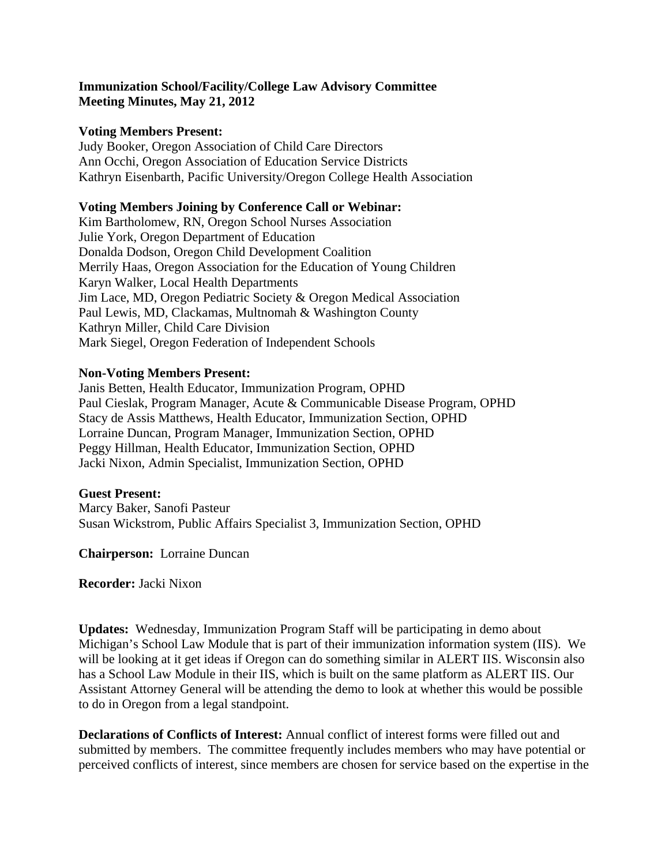### **Immunization School/Facility/College Law Advisory Committee Meeting Minutes, May 21, 2012**

#### **Voting Members Present:**

Judy Booker, Oregon Association of Child Care Directors Ann Occhi, Oregon Association of Education Service Districts Kathryn Eisenbarth, Pacific University/Oregon College Health Association

#### **Voting Members Joining by Conference Call or Webinar:**

Kim Bartholomew, RN, Oregon School Nurses Association Julie York, Oregon Department of Education Donalda Dodson, Oregon Child Development Coalition Merrily Haas, Oregon Association for the Education of Young Children Karyn Walker, Local Health Departments Jim Lace, MD, Oregon Pediatric Society & Oregon Medical Association Paul Lewis, MD, Clackamas, Multnomah & Washington County Kathryn Miller, Child Care Division Mark Siegel, Oregon Federation of Independent Schools

### **Non-Voting Members Present:**

Janis Betten, Health Educator, Immunization Program, OPHD Paul Cieslak, Program Manager, Acute & Communicable Disease Program, OPHD Stacy de Assis Matthews, Health Educator, Immunization Section, OPHD Lorraine Duncan, Program Manager, Immunization Section, OPHD Peggy Hillman, Health Educator, Immunization Section, OPHD Jacki Nixon, Admin Specialist, Immunization Section, OPHD

### **Guest Present:**

Marcy Baker, Sanofi Pasteur Susan Wickstrom, Public Affairs Specialist 3, Immunization Section, OPHD

**Chairperson:** Lorraine Duncan

**Recorder:** Jacki Nixon

**Updates:** Wednesday, Immunization Program Staff will be participating in demo about Michigan's School Law Module that is part of their immunization information system (IIS). We will be looking at it get ideas if Oregon can do something similar in ALERT IIS. Wisconsin also has a School Law Module in their IIS, which is built on the same platform as ALERT IIS. Our Assistant Attorney General will be attending the demo to look at whether this would be possible to do in Oregon from a legal standpoint.

**Declarations of Conflicts of Interest:** Annual conflict of interest forms were filled out and submitted by members. The committee frequently includes members who may have potential or perceived conflicts of interest, since members are chosen for service based on the expertise in the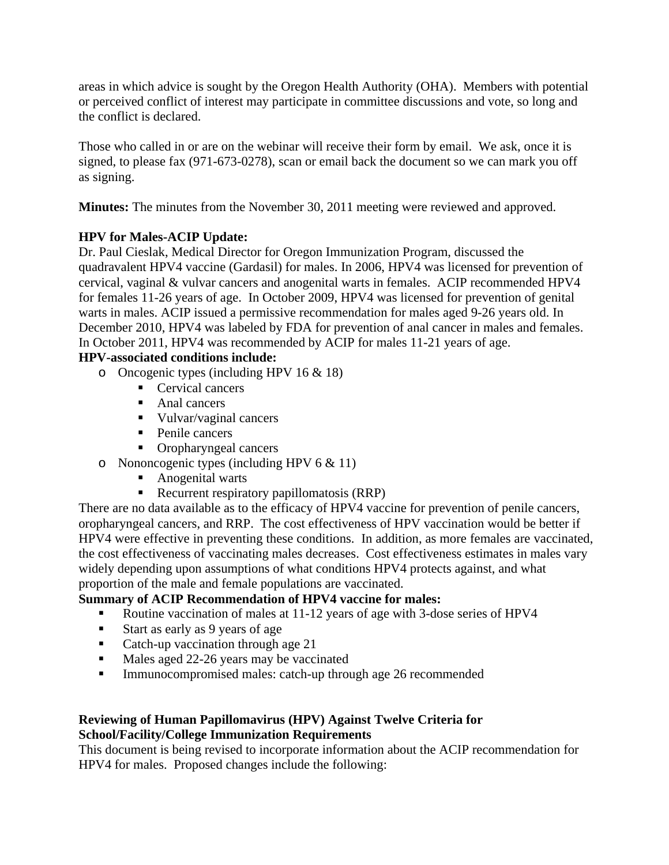areas in which advice is sought by the Oregon Health Authority (OHA). Members with potential or perceived conflict of interest may participate in committee discussions and vote, so long and the conflict is declared.

Those who called in or are on the webinar will receive their form by email. We ask, once it is signed, to please fax (971-673-0278), scan or email back the document so we can mark you off as signing.

**Minutes:** The minutes from the November 30, 2011 meeting were reviewed and approved.

## **HPV for Males-ACIP Update:**

Dr. Paul Cieslak, Medical Director for Oregon Immunization Program, discussed the quadravalent HPV4 vaccine (Gardasil) for males. In 2006, HPV4 was licensed for prevention of cervical, vaginal & vulvar cancers and anogenital warts in females. ACIP recommended HPV4 for females 11-26 years of age. In October 2009, HPV4 was licensed for prevention of genital warts in males. ACIP issued a permissive recommendation for males aged 9-26 years old. In December 2010, HPV4 was labeled by FDA for prevention of anal cancer in males and females. In October 2011, HPV4 was recommended by ACIP for males 11-21 years of age.

# **HPV-associated conditions include:**

- o Oncogenic types (including HPV 16 & 18)
	- Cervical cancers
	- Anal cancers
	- Vulvar/vaginal cancers
	- Penile cancers
	- Oropharyngeal cancers
- o Nononcogenic types (including HPV 6 & 11)
	- Anogenital warts
	- Recurrent respiratory papillomatosis (RRP)

There are no data available as to the efficacy of HPV4 vaccine for prevention of penile cancers, oropharyngeal cancers, and RRP. The cost effectiveness of HPV vaccination would be better if HPV4 were effective in preventing these conditions. In addition, as more females are vaccinated, the cost effectiveness of vaccinating males decreases. Cost effectiveness estimates in males vary widely depending upon assumptions of what conditions HPV4 protects against, and what proportion of the male and female populations are vaccinated.

# **Summary of ACIP Recommendation of HPV4 vaccine for males:**

- Routine vaccination of males at 11-12 years of age with 3-dose series of HPV4
- Start as early as 9 years of age
- Catch-up vaccination through age 21
- Males aged 22-26 years may be vaccinated
- Immunocompromised males: catch-up through age 26 recommended

## **Reviewing of Human Papillomavirus (HPV) Against Twelve Criteria for School/Facility/College Immunization Requirements**

This document is being revised to incorporate information about the ACIP recommendation for HPV4 for males. Proposed changes include the following: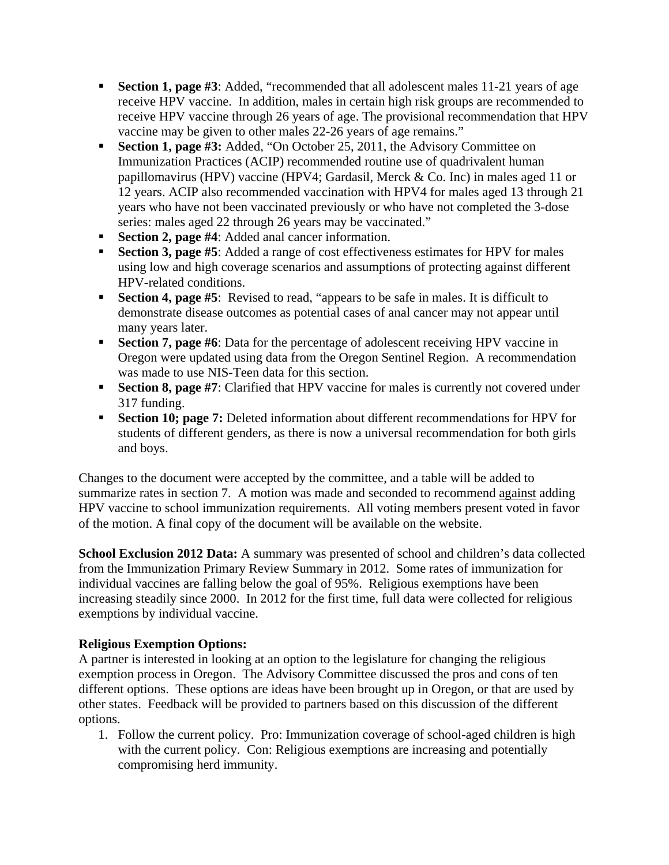- **Section 1, page #3**: Added, "recommended that all adolescent males 11-21 years of age receive HPV vaccine. In addition, males in certain high risk groups are recommended to receive HPV vaccine through 26 years of age. The provisional recommendation that HPV vaccine may be given to other males 22-26 years of age remains."
- **Section 1, page #3:** Added, "On October 25, 2011, the Advisory Committee on Immunization Practices (ACIP) recommended routine use of quadrivalent human papillomavirus (HPV) vaccine (HPV4; Gardasil, Merck & Co. Inc) in males aged 11 or 12 years. ACIP also recommended vaccination with HPV4 for males aged 13 through 21 years who have not been vaccinated previously or who have not completed the 3-dose series: males aged 22 through 26 years may be vaccinated."
- **Section 2, page #4**: Added anal cancer information.
- **Section 3, page #5:** Added a range of cost effectiveness estimates for HPV for males using low and high coverage scenarios and assumptions of protecting against different HPV-related conditions.
- **Section 4, page #5:** Revised to read, "appears to be safe in males. It is difficult to demonstrate disease outcomes as potential cases of anal cancer may not appear until many years later.
- **Section 7, page #6**: Data for the percentage of adolescent receiving HPV vaccine in Oregon were updated using data from the Oregon Sentinel Region. A recommendation was made to use NIS-Teen data for this section.
- **Section 8, page #7:** Clarified that HPV vaccine for males is currently not covered under 317 funding.
- **Section 10; page 7:** Deleted information about different recommendations for HPV for students of different genders, as there is now a universal recommendation for both girls and boys.

Changes to the document were accepted by the committee, and a table will be added to summarize rates in section 7. A motion was made and seconded to recommend against adding HPV vaccine to school immunization requirements. All voting members present voted in favor of the motion. A final copy of the document will be available on the website.

**School Exclusion 2012 Data:** A summary was presented of school and children's data collected from the Immunization Primary Review Summary in 2012. Some rates of immunization for individual vaccines are falling below the goal of 95%. Religious exemptions have been increasing steadily since 2000. In 2012 for the first time, full data were collected for religious exemptions by individual vaccine.

## **Religious Exemption Options:**

A partner is interested in looking at an option to the legislature for changing the religious exemption process in Oregon. The Advisory Committee discussed the pros and cons of ten different options. These options are ideas have been brought up in Oregon, or that are used by other states. Feedback will be provided to partners based on this discussion of the different options.

1. Follow the current policy. Pro: Immunization coverage of school-aged children is high with the current policy. Con: Religious exemptions are increasing and potentially compromising herd immunity.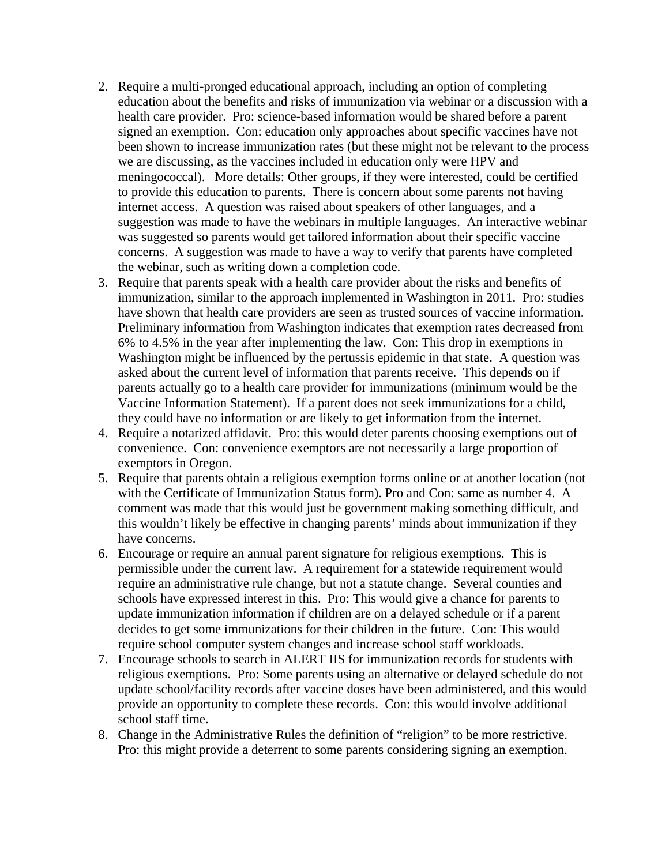- 2. Require a multi-pronged educational approach, including an option of completing education about the benefits and risks of immunization via webinar or a discussion with a health care provider. Pro: science-based information would be shared before a parent signed an exemption. Con: education only approaches about specific vaccines have not been shown to increase immunization rates (but these might not be relevant to the process we are discussing, as the vaccines included in education only were HPV and meningococcal). More details: Other groups, if they were interested, could be certified to provide this education to parents. There is concern about some parents not having internet access. A question was raised about speakers of other languages, and a suggestion was made to have the webinars in multiple languages. An interactive webinar was suggested so parents would get tailored information about their specific vaccine concerns. A suggestion was made to have a way to verify that parents have completed the webinar, such as writing down a completion code.
- 3. Require that parents speak with a health care provider about the risks and benefits of immunization, similar to the approach implemented in Washington in 2011. Pro: studies have shown that health care providers are seen as trusted sources of vaccine information. Preliminary information from Washington indicates that exemption rates decreased from 6% to 4.5% in the year after implementing the law. Con: This drop in exemptions in Washington might be influenced by the pertussis epidemic in that state. A question was asked about the current level of information that parents receive. This depends on if parents actually go to a health care provider for immunizations (minimum would be the Vaccine Information Statement). If a parent does not seek immunizations for a child, they could have no information or are likely to get information from the internet.
- 4. Require a notarized affidavit. Pro: this would deter parents choosing exemptions out of convenience. Con: convenience exemptors are not necessarily a large proportion of exemptors in Oregon.
- 5. Require that parents obtain a religious exemption forms online or at another location (not with the Certificate of Immunization Status form). Pro and Con: same as number 4. A comment was made that this would just be government making something difficult, and this wouldn't likely be effective in changing parents' minds about immunization if they have concerns.
- 6. Encourage or require an annual parent signature for religious exemptions. This is permissible under the current law. A requirement for a statewide requirement would require an administrative rule change, but not a statute change. Several counties and schools have expressed interest in this. Pro: This would give a chance for parents to update immunization information if children are on a delayed schedule or if a parent decides to get some immunizations for their children in the future. Con: This would require school computer system changes and increase school staff workloads.
- 7. Encourage schools to search in ALERT IIS for immunization records for students with religious exemptions. Pro: Some parents using an alternative or delayed schedule do not update school/facility records after vaccine doses have been administered, and this would provide an opportunity to complete these records. Con: this would involve additional school staff time.
- 8. Change in the Administrative Rules the definition of "religion" to be more restrictive. Pro: this might provide a deterrent to some parents considering signing an exemption.